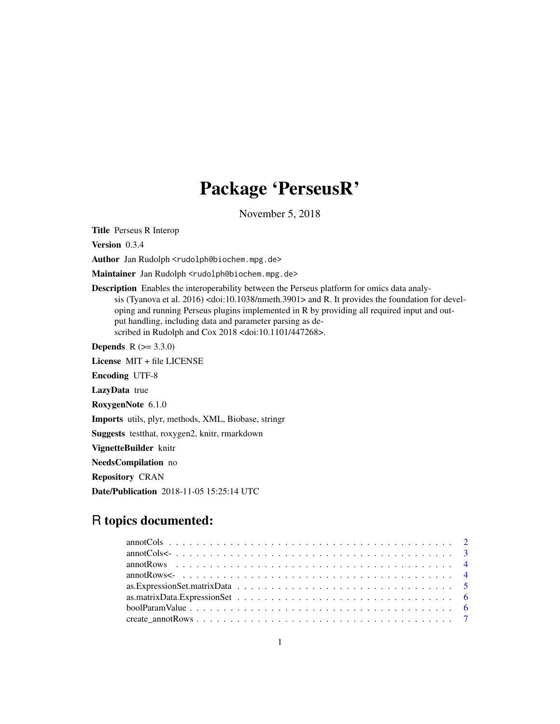# Package 'PerseusR'

November 5, 2018

<span id="page-0-0"></span>Title Perseus R Interop

Version 0.3.4

Author Jan Rudolph <rudolph@biochem.mpg.de>

Maintainer Jan Rudolph <rudolph@biochem.mpg.de>

Description Enables the interoperability between the Perseus platform for omics data analysis (Tyanova et al. 2016) <doi:10.1038/nmeth.3901> and R. It provides the foundation for developing and running Perseus plugins implemented in R by providing all required input and output handling, including data and parameter parsing as described in Rudolph and Cox 2018 <doi:10.1101/447268>.

**Depends**  $R (= 3.3.0)$ 

License MIT + file LICENSE

Encoding UTF-8

LazyData true

RoxygenNote 6.1.0

Imports utils, plyr, methods, XML, Biobase, stringr

Suggests testthat, roxygen2, knitr, rmarkdown

VignetteBuilder knitr

NeedsCompilation no

Repository CRAN

Date/Publication 2018-11-05 15:25:14 UTC

# R topics documented:

| as. Expression Set. matrix Data $\ldots \ldots \ldots \ldots \ldots \ldots \ldots \ldots \ldots \ldots \ldots \ldots \ldots$ |  |
|------------------------------------------------------------------------------------------------------------------------------|--|
|                                                                                                                              |  |
|                                                                                                                              |  |
|                                                                                                                              |  |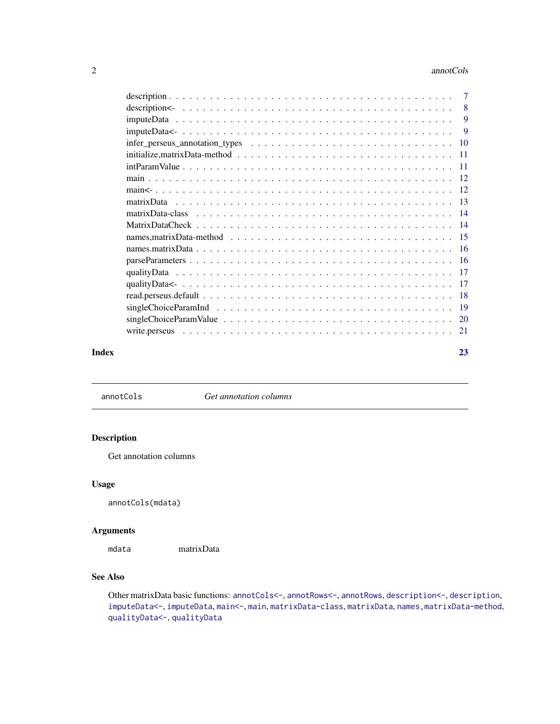#### <span id="page-1-0"></span>2 annotCols

| $\overline{7}$                                                                                                                                          |  |
|---------------------------------------------------------------------------------------------------------------------------------------------------------|--|
| 8                                                                                                                                                       |  |
| 9                                                                                                                                                       |  |
| 9                                                                                                                                                       |  |
| $infer_{\text{preseus}_{\text{}}\text{annotation}_{\text{}}\text{types} \dots \dots \dots \dots \dots \dots \dots \dots \dots \dots \dots \dots$<br>-10 |  |
| $initialize, matrixData-method \dots \dots \dots \dots \dots \dots \dots \dots \dots \dots \dots \dots \dots \dots$<br>-11                              |  |
| -11                                                                                                                                                     |  |
|                                                                                                                                                         |  |
|                                                                                                                                                         |  |
|                                                                                                                                                         |  |
|                                                                                                                                                         |  |
|                                                                                                                                                         |  |
|                                                                                                                                                         |  |
|                                                                                                                                                         |  |
|                                                                                                                                                         |  |
| -17                                                                                                                                                     |  |
| -17                                                                                                                                                     |  |
| -18                                                                                                                                                     |  |
| -19                                                                                                                                                     |  |
| $singleChoiceParamValue \dots \dots \dots \dots \dots \dots \dots \dots \dots \dots \dots \dots \dots \dots$<br>20                                      |  |
| write.perseus<br>21                                                                                                                                     |  |
|                                                                                                                                                         |  |

### **Index** [23](#page-22-0)

<span id="page-1-1"></span>annotCols *Get annotation columns*

# Description

Get annotation columns

# Usage

annotCols(mdata)

# Arguments

mdata matrixData

# See Also

Other matrixData basic functions: [annotCols<-](#page-2-1), [annotRows<-](#page-3-1), [annotRows](#page-3-2), [description<-](#page-7-1), [description](#page-6-1), [imputeData<-](#page-8-1), [imputeData](#page-8-2), [main<-](#page-11-1), [main](#page-11-2), [matrixData-class](#page-13-1), [matrixData](#page-12-1), [names,matrixData-method](#page-0-0), [qualityData<-](#page-16-1), [qualityData](#page-16-2)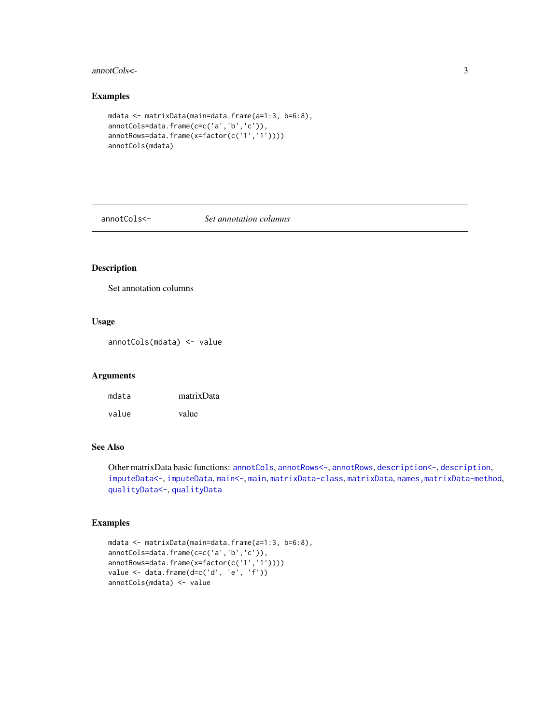## <span id="page-2-0"></span>annotCols<- 3

# Examples

```
mdata <- matrixData(main=data.frame(a=1:3, b=6:8),
annotCols=data.frame(c=c('a','b','c')),
annotRows=data.frame(x=factor(c('1','1'))))
annotCols(mdata)
```
<span id="page-2-1"></span>annotCols<- *Set annotation columns*

# Description

Set annotation columns

# Usage

annotCols(mdata) <- value

## Arguments

| mdata | matrixData |
|-------|------------|
| value | value      |

# See Also

Other matrixData basic functions: [annotCols](#page-1-1), [annotRows<-](#page-3-1), [annotRows](#page-3-2), [description<-](#page-7-1), [description](#page-6-1), [imputeData<-](#page-8-1), [imputeData](#page-8-2), [main<-](#page-11-1), [main](#page-11-2), [matrixData-class](#page-13-1), [matrixData](#page-12-1), [names,matrixData-method](#page-0-0), [qualityData<-](#page-16-1), [qualityData](#page-16-2)

```
mdata <- matrixData(main=data.frame(a=1:3, b=6:8),
annotCols=data.frame(c=c('a','b','c')),
annotRows=data.frame(x=factor(c('1','1'))))
value <- data.frame(d=c('d', 'e', 'f'))
annotCols(mdata) <- value
```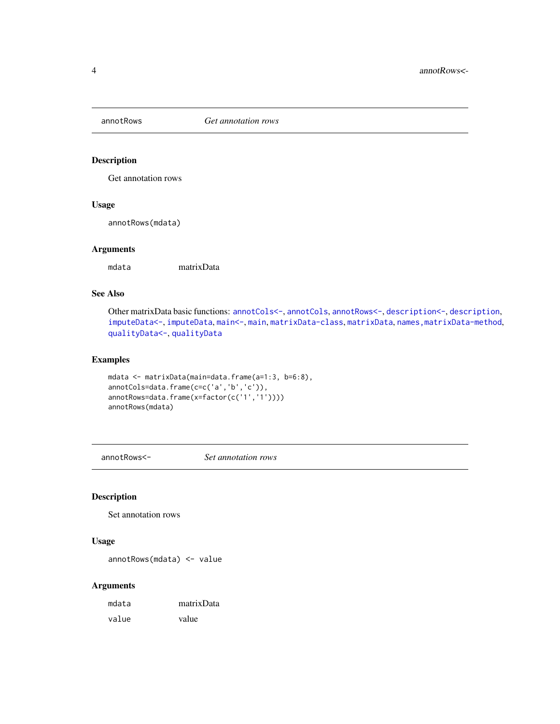<span id="page-3-2"></span><span id="page-3-0"></span>

Get annotation rows

## Usage

annotRows(mdata)

# Arguments

mdata matrixData

# See Also

Other matrixData basic functions: [annotCols<-](#page-2-1), [annotCols](#page-1-1), [annotRows<-](#page-3-1), [description<-](#page-7-1), [description](#page-6-1), [imputeData<-](#page-8-1), [imputeData](#page-8-2), [main<-](#page-11-1), [main](#page-11-2), [matrixData-class](#page-13-1), [matrixData](#page-12-1), [names,matrixData-method](#page-0-0), [qualityData<-](#page-16-1), [qualityData](#page-16-2)

# Examples

```
mdata <- matrixData(main=data.frame(a=1:3, b=6:8),
annotCols=data.frame(c=c('a','b','c')),
annotRows=data.frame(x=factor(c('1','1'))))
annotRows(mdata)
```
<span id="page-3-1"></span>annotRows<- *Set annotation rows*

## Description

Set annotation rows

# Usage

annotRows(mdata) <- value

| mdata | matrixData |
|-------|------------|
| value | value      |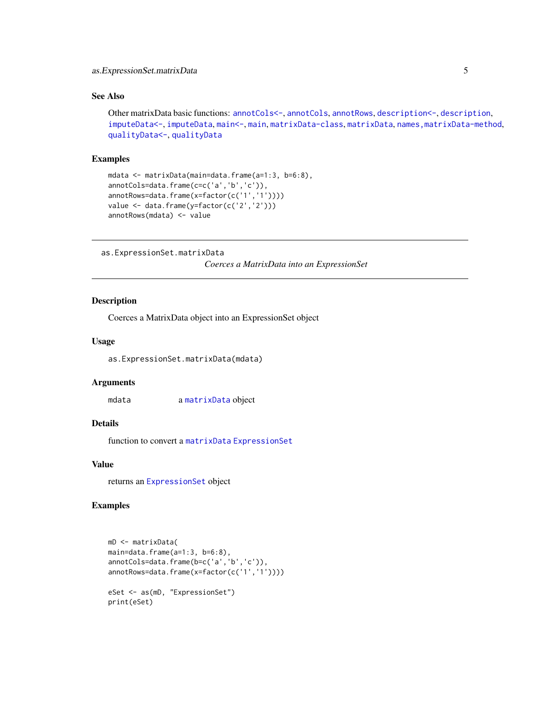# <span id="page-4-0"></span>as.ExpressionSet.matrixData 5

# See Also

```
Other matrixData basic functions: annotCols<-, annotCols, annotRows, description<-, description,
imputeData<-, imputeData, main<-, main, matrixData-class, matrixData, names,matrixData-method,
qualityData<-, qualityData
```
## Examples

```
mdata <- matrixData(main=data.frame(a=1:3, b=6:8),
annotCols=data.frame(c=c('a','b','c')),
annotRows=data.frame(x=factor(c('1','1'))))
value <- data.frame(y=factor(c('2','2')))
annotRows(mdata) <- value
```

```
as.ExpressionSet.matrixData
```
*Coerces a MatrixData into an ExpressionSet*

# Description

Coerces a MatrixData object into an ExpressionSet object

## Usage

as.ExpressionSet.matrixData(mdata)

## **Arguments**

mdata a [matrixData](#page-12-1) object

# Details

function to convert a [matrixData](#page-12-1) [ExpressionSet](#page-0-0)

# Value

returns an [ExpressionSet](#page-0-0) object

```
mD <- matrixData(
main=data.frame(a=1:3, b=6:8),
annotCols=data.frame(b=c('a','b','c')),
annotRows=data.frame(x=factor(c('1','1'))))
eSet <- as(mD, "ExpressionSet")
print(eSet)
```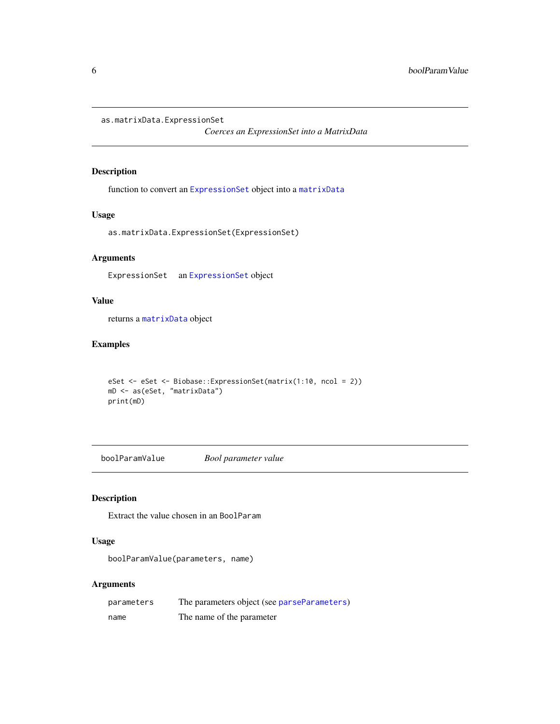<span id="page-5-0"></span>as.matrixData.ExpressionSet

*Coerces an ExpressionSet into a MatrixData*

# Description

function to convert an [ExpressionSet](#page-0-0) object into a [matrixData](#page-12-1)

## Usage

as.matrixData.ExpressionSet(ExpressionSet)

# Arguments

ExpressionSet an [ExpressionSet](#page-0-0) object

# Value

returns a [matrixData](#page-12-1) object

# Examples

```
eSet <- eSet <- Biobase::ExpressionSet(matrix(1:10, ncol = 2))
mD <- as(eSet, "matrixData")
print(mD)
```
boolParamValue *Bool parameter value*

# Description

Extract the value chosen in an BoolParam

# Usage

boolParamValue(parameters, name)

| parameters | The parameters object (see parseParameters) |
|------------|---------------------------------------------|
| name       | The name of the parameter                   |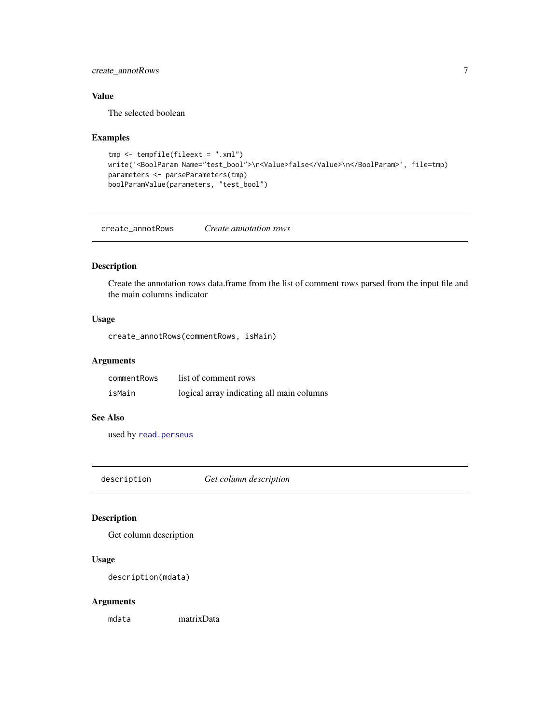# <span id="page-6-0"></span>create\_annotRows 7

# Value

The selected boolean

# Examples

```
tmp \leftarrow template(fileext = ".xml")write('<BoolParam Name="test_bool">\n<Value>false</Value>\n</BoolParam>', file=tmp)
parameters <- parseParameters(tmp)
boolParamValue(parameters, "test_bool")
```
create\_annotRows *Create annotation rows*

# Description

Create the annotation rows data.frame from the list of comment rows parsed from the input file and the main columns indicator

# Usage

create\_annotRows(commentRows, isMain)

# Arguments

| commentRows | list of comment rows                      |
|-------------|-------------------------------------------|
| isMain      | logical array indicating all main columns |

## See Also

used by [read.perseus](#page-17-1)

<span id="page-6-1"></span>description *Get column description*

# Description

Get column description

## Usage

description(mdata)

## Arguments

mdata matrixData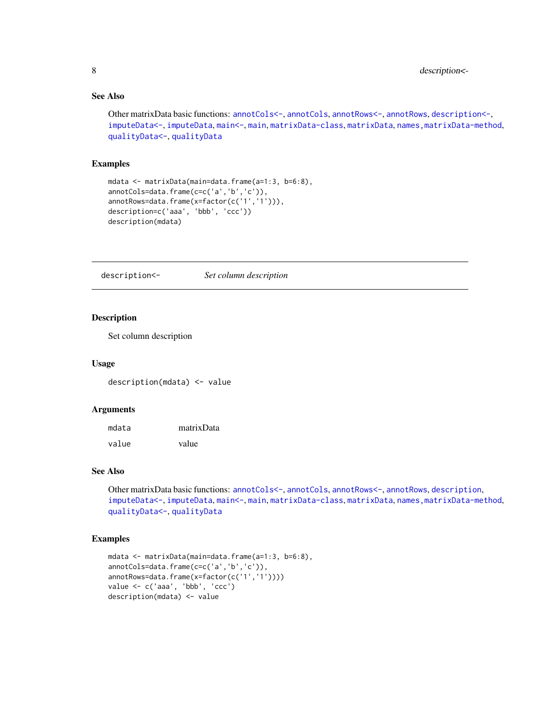# See Also

```
Other matrixData basic functions: annotCols<-, annotCols, annotRows<-, annotRows, description<-,
imputeData<-, imputeData, main<-, main, matrixData-class, matrixData, names,matrixData-method,
qualityData<-, qualityData
```
## Examples

```
mdata <- matrixData(main=data.frame(a=1:3, b=6:8),
annotCols=data.frame(c=c('a','b','c')),
annotRows=data.frame(x=factor(c('1','1'))),
description=c('aaa', 'bbb', 'ccc'))
description(mdata)
```
<span id="page-7-1"></span>description<- *Set column description*

# Description

Set column description

#### Usage

description(mdata) <- value

## Arguments

| mdata | matrixData |
|-------|------------|
| value | value      |

# See Also

Other matrixData basic functions: [annotCols<-](#page-2-1), [annotCols](#page-1-1), [annotRows<-](#page-3-1), [annotRows](#page-3-2), [description](#page-6-1), [imputeData<-](#page-8-1), [imputeData](#page-8-2), [main<-](#page-11-1), [main](#page-11-2), [matrixData-class](#page-13-1), [matrixData](#page-12-1), [names,matrixData-method](#page-0-0), [qualityData<-](#page-16-1), [qualityData](#page-16-2)

```
mdata <- matrixData(main=data.frame(a=1:3, b=6:8),
annotCols=data.frame(c=c('a','b','c')),
annotRows=data.frame(x=factor(c('1','1'))))
value <- c('aaa', 'bbb', 'ccc')
description(mdata) <- value
```
<span id="page-7-0"></span>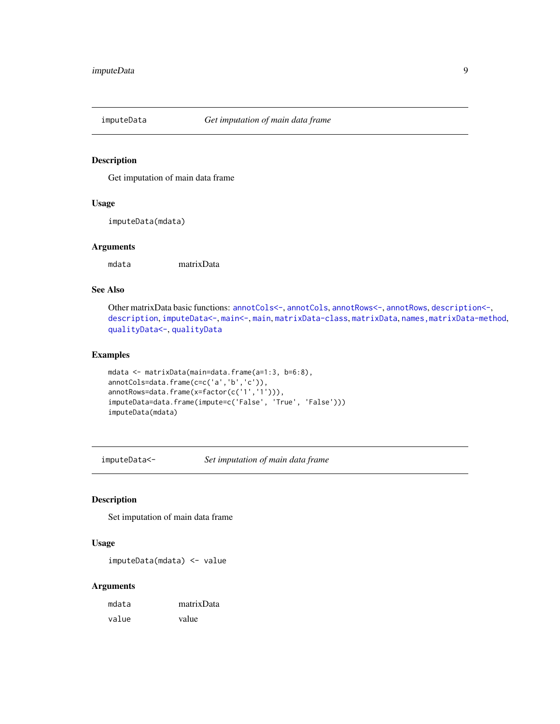<span id="page-8-2"></span><span id="page-8-0"></span>

Get imputation of main data frame

## Usage

imputeData(mdata)

# Arguments

mdata matrixData

## See Also

```
Other matrixData basic functions: annotCols<-, annotCols, annotRows<-, annotRows, description<-,
descriptionimputeData<-main<-mainmatrixData-classmatrixData, names, matrixData-method,
qualityData<-, qualityData
```
## Examples

```
mdata <- matrixData(main=data.frame(a=1:3, b=6:8),
annotCols=data.frame(c=c('a','b','c')),
annotRows=data.frame(x=factor(c('1','1'))),
imputeData=data.frame(impute=c('False', 'True', 'False')))
imputeData(mdata)
```
<span id="page-8-1"></span>imputeData<- *Set imputation of main data frame*

# Description

Set imputation of main data frame

# Usage

imputeData(mdata) <- value

| mdata | matrixData |
|-------|------------|
| value | value      |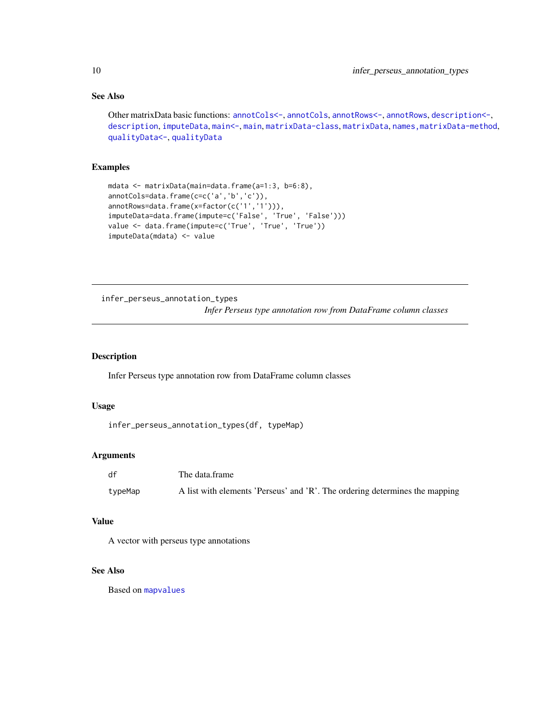# See Also

```
Other matrixData basic functions: annotCols<-, annotCols, annotRows<-, annotRows, description<-,
descriptionimputeDatamain<-mainmatrixData-classmatrixData, names, matrixData-method,
qualityData<-, qualityData
```
# Examples

```
mdata <- matrixData(main=data.frame(a=1:3, b=6:8),
annotCols=data.frame(c=c('a','b','c')),
annotRows=data.frame(x=factor(c('1','1'))),
imputeData=data.frame(impute=c('False', 'True', 'False')))
value <- data.frame(impute=c('True', 'True', 'True'))
imputeData(mdata) <- value
```
infer\_perseus\_annotation\_types

*Infer Perseus type annotation row from DataFrame column classes*

## Description

Infer Perseus type annotation row from DataFrame column classes

#### Usage

```
infer_perseus_annotation_types(df, typeMap)
```
#### Arguments

| df      | The data.frame                                                              |
|---------|-----------------------------------------------------------------------------|
| typeMap | A list with elements 'Perseus' and 'R'. The ordering determines the mapping |

#### Value

A vector with perseus type annotations

## See Also

Based on [mapvalues](#page-0-0)

<span id="page-9-0"></span>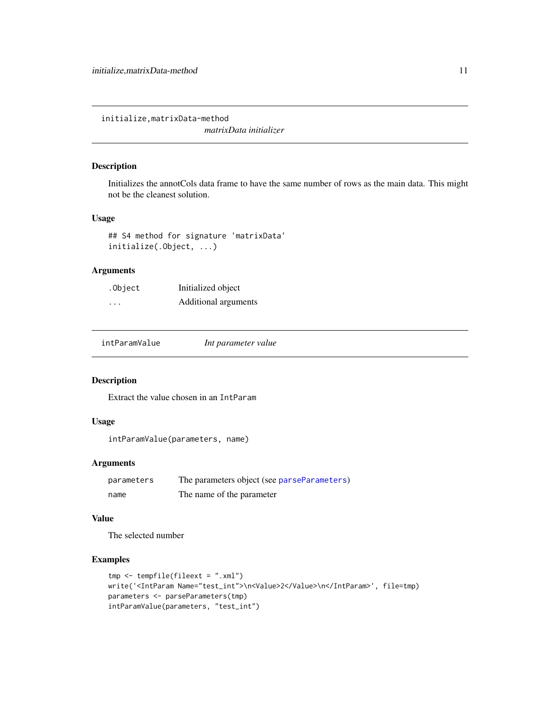<span id="page-10-0"></span>initialize,matrixData-method

*matrixData initializer*

# Description

Initializes the annotCols data frame to have the same number of rows as the main data. This might not be the cleanest solution.

## Usage

```
## S4 method for signature 'matrixData'
initialize(.Object, ...)
```
# Arguments

| .Object  | Initialized object   |
|----------|----------------------|
| $\cdots$ | Additional arguments |

intParamValue *Int parameter value*

# Description

Extract the value chosen in an IntParam

# Usage

intParamValue(parameters, name)

# Arguments

| parameters | The parameters object (see parseParameters) |
|------------|---------------------------------------------|
| name       | The name of the parameter                   |

# Value

The selected number

```
tmp <- tempfile(fileext = ".xml")
write('<IntParam Name="test_int">\n<Value>2</Value>\n</IntParam>', file=tmp)
parameters <- parseParameters(tmp)
intParamValue(parameters, "test_int")
```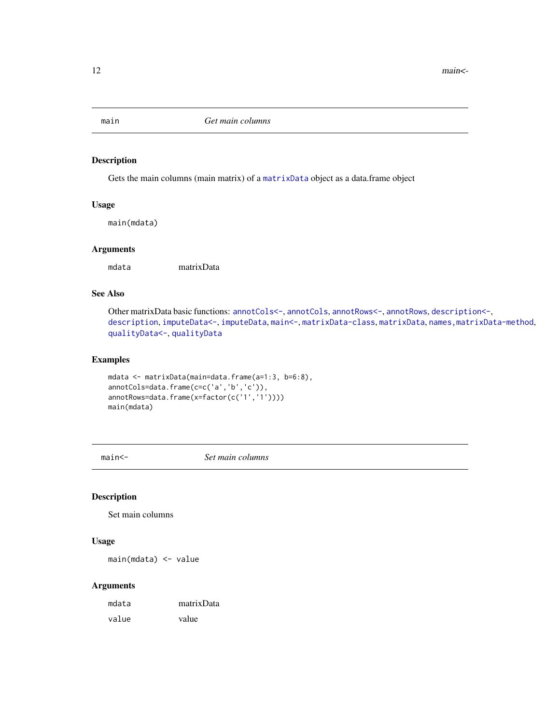<span id="page-11-2"></span><span id="page-11-0"></span>

Gets the main columns (main matrix) of a [matrixData](#page-12-1) object as a data.frame object

## Usage

main(mdata)

# Arguments

mdata matrixData

# See Also

Other matrixData basic functions: [annotCols<-](#page-2-1), [annotCols](#page-1-1), [annotRows<-](#page-3-1), [annotRows](#page-3-2), [description<-](#page-7-1), [description](#page-6-1), [imputeData<-](#page-8-1), [imputeData](#page-8-2), [main<-](#page-11-1), [matrixData-class](#page-13-1), [matrixData](#page-12-1), [names,matrixData-method](#page-0-0), [qualityData<-](#page-16-1), [qualityData](#page-16-2)

# Examples

```
mdata <- matrixData(main=data.frame(a=1:3, b=6:8),
annotCols=data.frame(c=c('a','b','c')),
annotRows=data.frame(x=factor(c('1','1'))))
main(mdata)
```
<span id="page-11-1"></span>main<- *Set main columns*

# Description

Set main columns

## Usage

main(mdata) <- value

| mdata | matrixData |
|-------|------------|
| value | value      |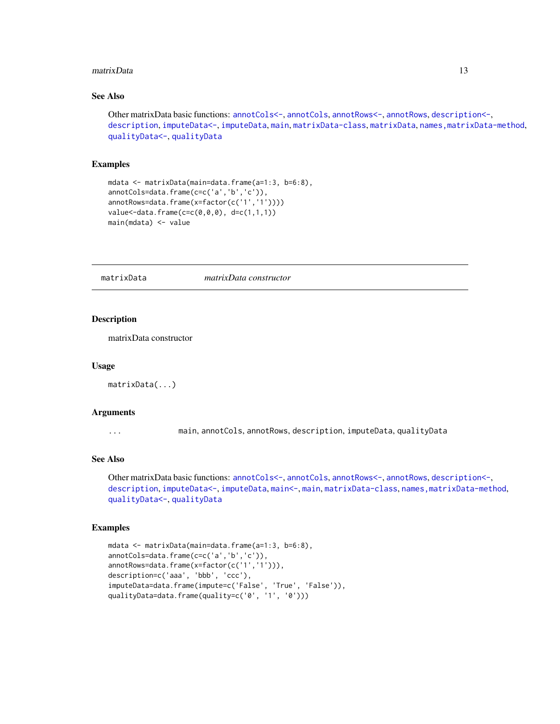#### <span id="page-12-0"></span>matrixData 13

# See Also

```
Other matrixData basic functions: annotCols<-, annotCols, annotRows<-, annotRows, description<-,
description, imputeData<-, imputeData, main, matrixData-class, matrixData, names,matrixData-method,
qualityData<-, qualityData
```
## Examples

```
mdata <- matrixData(main=data.frame(a=1:3, b=6:8),
annotCols=data.frame(c=c('a','b','c')),
annotRows=data.frame(x=factor(c('1','1'))))
value<-data.frame(c=c(0,0,0), d=c(1,1,1))
main(mdata) <- value
```
<span id="page-12-1"></span>matrixData *matrixData constructor*

# Description

matrixData constructor

#### Usage

```
matrixData(...)
```
## Arguments

... main, annotCols, annotRows, description, imputeData, qualityData

# See Also

Other matrixData basic functions: [annotCols<-](#page-2-1), [annotCols](#page-1-1), [annotRows<-](#page-3-1), [annotRows](#page-3-2), [description<-](#page-7-1), [description](#page-6-1), [imputeData<-](#page-8-1), [imputeData](#page-8-2), [main<-](#page-11-1), [main](#page-11-2), [matrixData-class](#page-13-1), [names,matrixData-method](#page-0-0), [qualityData<-](#page-16-1), [qualityData](#page-16-2)

```
mdata <- matrixData(main=data.frame(a=1:3, b=6:8),
annotCols=data.frame(c=c('a','b','c')),
annotRows=data.frame(x=factor(c('1','1'))),
description=c('aaa', 'bbb', 'ccc'),
imputeData=data.frame(impute=c('False', 'True', 'False')),
qualityData=data.frame(quality=c('0', '1', '0')))
```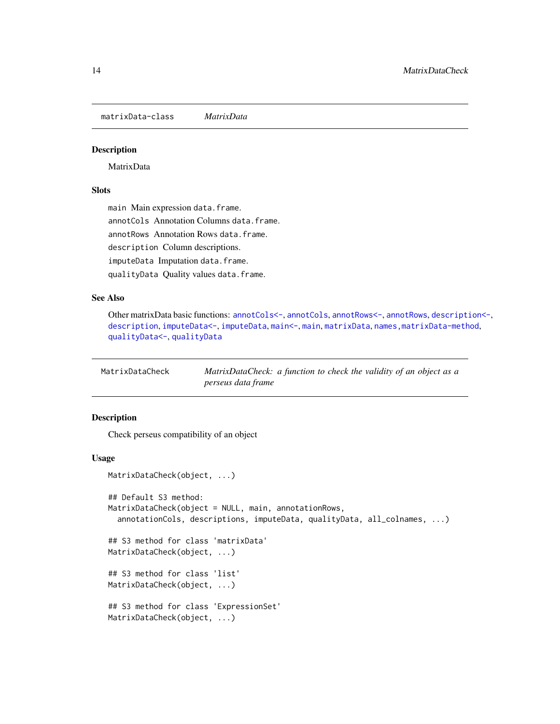<span id="page-13-1"></span><span id="page-13-0"></span>matrixData-class *MatrixData*

## Description

MatrixData

# **Slots**

main Main expression data.frame. annotCols Annotation Columns data.frame. annotRows Annotation Rows data.frame. description Column descriptions. imputeData Imputation data.frame. qualityData Quality values data.frame.

# See Also

Other matrixData basic functions: [annotCols<-](#page-2-1), [annotCols](#page-1-1), [annotRows<-](#page-3-1), [annotRows](#page-3-2), [description<-](#page-7-1), [description](#page-6-1), [imputeData<-](#page-8-1), [imputeData](#page-8-2), [main<-](#page-11-1), [main](#page-11-2), [matrixData](#page-12-1), [names,matrixData-method](#page-0-0), [qualityData<-](#page-16-1), [qualityData](#page-16-2)

| MatrixDataCheck | MatrixDataCheck: a function to check the validity of an object as a |  |
|-----------------|---------------------------------------------------------------------|--|
|                 | perseus data frame                                                  |  |

## Description

Check perseus compatibility of an object

## Usage

```
MatrixDataCheck(object, ...)
## Default S3 method:
MatrixDataCheck(object = NULL, main, annotationRows,
  annotationCols, descriptions, imputeData, qualityData, all_colnames, ...)
## S3 method for class 'matrixData'
MatrixDataCheck(object, ...)
## S3 method for class 'list'
MatrixDataCheck(object, ...)
## S3 method for class 'ExpressionSet'
MatrixDataCheck(object, ...)
```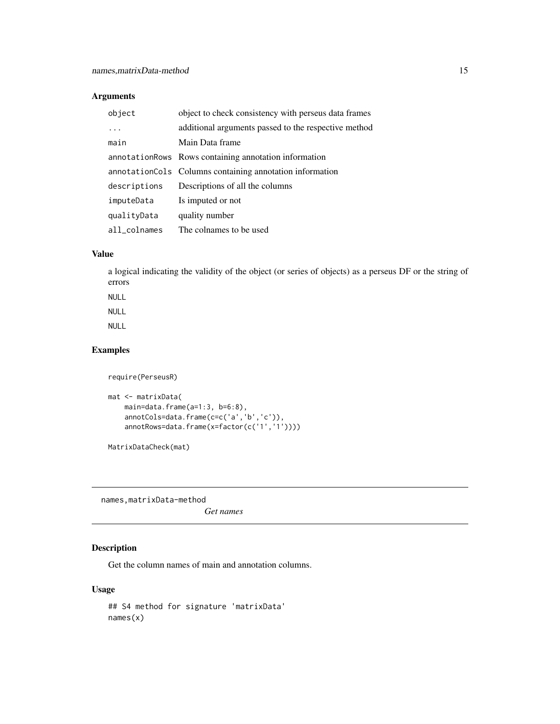# <span id="page-14-0"></span>Arguments

| object       | object to check consistency with perseus data frames     |
|--------------|----------------------------------------------------------|
| .            | additional arguments passed to the respective method     |
| main         | Main Data frame                                          |
|              | annotation Rows Containing annotation information        |
|              | annotationCols Columns containing annotation information |
| descriptions | Descriptions of all the columns                          |
| imputeData   | Is imputed or not                                        |
| qualityData  | quality number                                           |
| all_colnames | The colnames to be used                                  |

## Value

a logical indicating the validity of the object (or series of objects) as a perseus DF or the string of errors

NULL

# NULL

NULL

# Examples

```
require(PerseusR)
mat <- matrixData(
```

```
main=data.frame(a=1:3, b=6:8),
annotCols=data.frame(c=c('a','b','c')),
annotRows=data.frame(x=factor(c('1','1'))))
```
MatrixDataCheck(mat)

names,matrixData-method

*Get names*

# Description

Get the column names of main and annotation columns.

# Usage

```
## S4 method for signature 'matrixData'
names(x)
```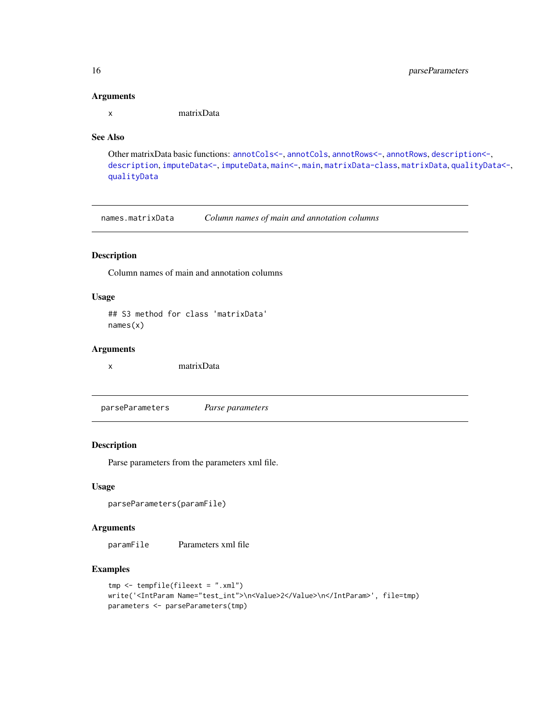### Arguments

x matrixData

# See Also

Other matrixData basic functions: [annotCols<-](#page-2-1), [annotCols](#page-1-1), [annotRows<-](#page-3-1), [annotRows](#page-3-2), [description<-](#page-7-1), [description](#page-6-1), [imputeData<-](#page-8-1), [imputeData](#page-8-2), [main<-](#page-11-1), [main](#page-11-2), [matrixData-class](#page-13-1), [matrixData](#page-12-1), [qualityData<-](#page-16-1), [qualityData](#page-16-2)

names.matrixData *Column names of main and annotation columns*

# Description

Column names of main and annotation columns

# Usage

## S3 method for class 'matrixData' names(x)

## Arguments

x matrixData

<span id="page-15-1"></span>parseParameters *Parse parameters*

## Description

Parse parameters from the parameters xml file.

## Usage

```
parseParameters(paramFile)
```
# Arguments

paramFile Parameters xml file

```
tmp <- tempfile(fileext = ".xml")
write('<IntParam Name="test_int">\n<Value>2</Value>\n</IntParam>', file=tmp)
parameters <- parseParameters(tmp)
```
<span id="page-15-0"></span>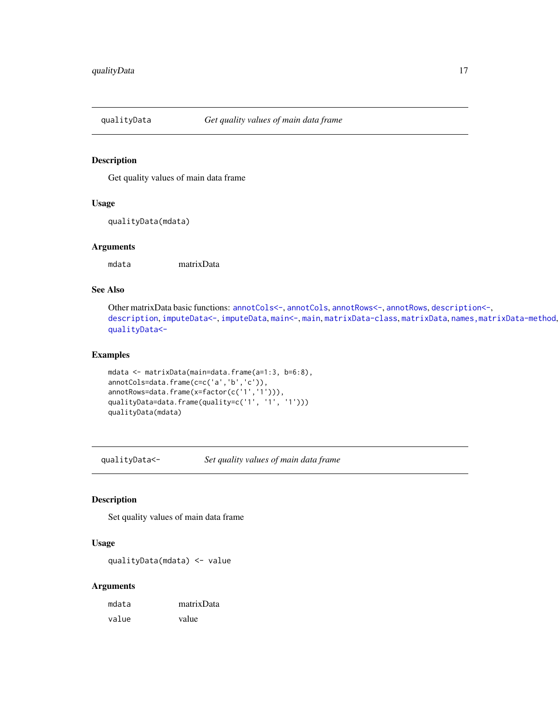<span id="page-16-2"></span><span id="page-16-0"></span>

Get quality values of main data frame

## Usage

```
qualityData(mdata)
```
# Arguments

mdata matrixData

## See Also

Other matrixData basic functions: [annotCols<-](#page-2-1), [annotCols](#page-1-1), [annotRows<-](#page-3-1), [annotRows](#page-3-2), [description<-](#page-7-1), [description](#page-6-1), [imputeData<-](#page-8-1), [imputeData](#page-8-2), [main<-](#page-11-1), [main](#page-11-2), [matrixData-class](#page-13-1), [matrixData](#page-12-1), [names,matrixData-method](#page-0-0), [qualityData<-](#page-16-1)

### Examples

```
mdata <- matrixData(main=data.frame(a=1:3, b=6:8),
annotCols=data.frame(c=c('a','b','c')),
annotRows=data.frame(x=factor(c('1','1'))),
qualityData=data.frame(quality=c('1', '1', '1')))
qualityData(mdata)
```
<span id="page-16-1"></span>qualityData<- *Set quality values of main data frame*

#### Description

Set quality values of main data frame

## Usage

qualityData(mdata) <- value

| mdata | matrixData |
|-------|------------|
| value | value      |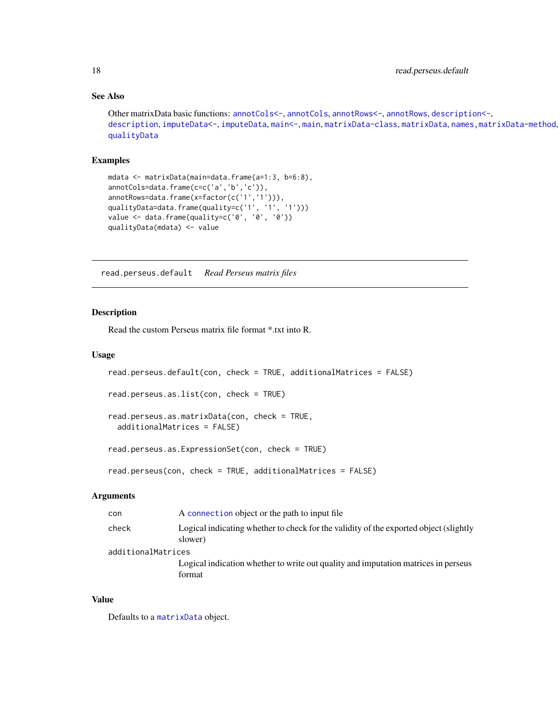# See Also

```
Other matrixData basic functions: annotCols<-, annotCols, annotRows<-, annotRows, description<-,
description, imputeData<-, imputeData, main<-, main, matrixData-class, matrixData, names,matrixData-method,
qualityData
```
## Examples

```
mdata <- matrixData(main=data.frame(a=1:3, b=6:8),
annotCols=data.frame(c=c('a','b','c')),
annotRows=data.frame(x=factor(c('1','1'))),
qualityData=data.frame(quality=c('1', '1', '1')))
value <- data.frame(quality=c('0', '0', '0'))
qualityData(mdata) <- value
```
read.perseus.default *Read Perseus matrix files*

# <span id="page-17-1"></span>Description

Read the custom Perseus matrix file format \*.txt into R.

### Usage

```
read.perseus.default(con, check = TRUE, additionalMatrices = FALSE)
read.perseus.as.list(con, check = TRUE)
read.perseus.as.matrixData(con, check = TRUE,
 additionalMatrices = FALSE)
read.perseus.as.ExpressionSet(con, check = TRUE)
```
# read.perseus(con, check = TRUE, additionalMatrices = FALSE)

## Arguments

| con                | A connection object or the path to input file                                                    |
|--------------------|--------------------------------------------------------------------------------------------------|
| check              | Logical indicating whether to check for the validity of the exported object (slightly<br>slower) |
| additionalMatrices |                                                                                                  |
|                    | Logical indication whether to write out quality and imputation matrices in perseus<br>format     |
|                    |                                                                                                  |

# Value

Defaults to a [matrixData](#page-12-1) object.

<span id="page-17-0"></span>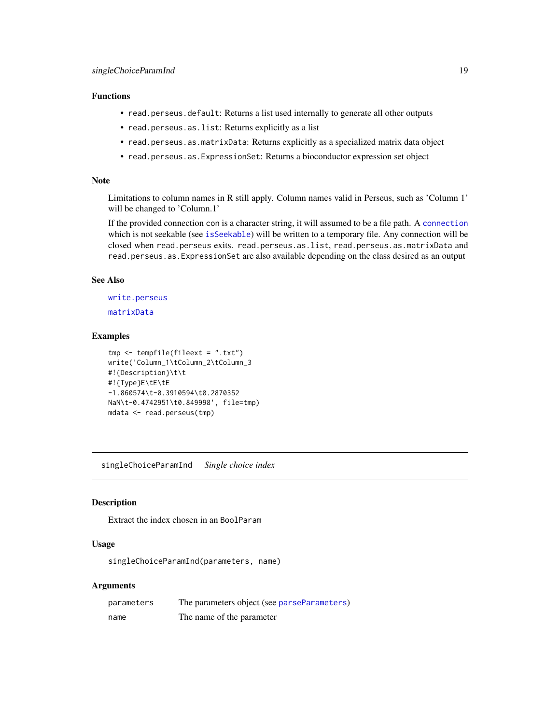## <span id="page-18-0"></span>Functions

- read.perseus.default: Returns a list used internally to generate all other outputs
- read.perseus.as.list: Returns explicitly as a list
- read.perseus.as.matrixData: Returns explicitly as a specialized matrix data object
- read.perseus.as.ExpressionSet: Returns a bioconductor expression set object

# Note

Limitations to column names in R still apply. Column names valid in Perseus, such as 'Column 1' will be changed to 'Column.1'

If the provided connection con is a character string, it will assumed to be a file path. A [connection](#page-0-0) which is not seekable (see [isSeekable](#page-0-0)) will be written to a temporary file. Any connection will be closed when read.perseus exits. read.perseus.as.list, read.perseus.as.matrixData and read.perseus.as.ExpressionSet are also available depending on the class desired as an output

#### See Also

[write.perseus](#page-20-1) [matrixData](#page-12-1)

# Examples

```
tmp <- tempfile(fileext = ".txt")
write('Column_1\tColumn_2\tColumn_3
#!{Description}\t\t
#!{Type}E\tE\tE
-1.860574\t-0.3910594\t0.2870352
NaN\t-0.4742951\t0.849998', file=tmp)
mdata <- read.perseus(tmp)
```
singleChoiceParamInd *Single choice index*

# Description

Extract the index chosen in an BoolParam

# Usage

singleChoiceParamInd(parameters, name)

| parameters | The parameters object (see parseParameters) |
|------------|---------------------------------------------|
| name       | The name of the parameter                   |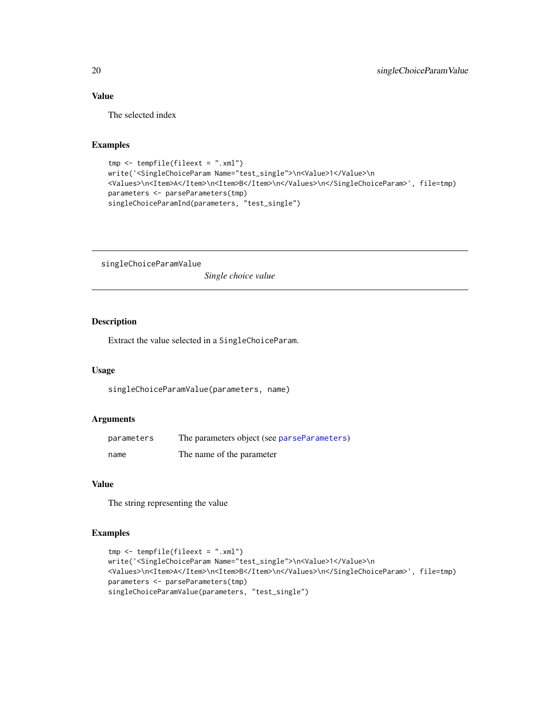# Value

The selected index

# Examples

```
tmp <- tempfile(fileext = ".xml")
write('<SingleChoiceParam Name="test_single">\n<Value>1</Value>\n
<Values>\n<Item>A</Item>\n<Item>B</Item>\n</Values>\n</SingleChoiceParam>', file=tmp)
parameters <- parseParameters(tmp)
singleChoiceParamInd(parameters, "test_single")
```
singleChoiceParamValue *Single choice value*

# Description

Extract the value selected in a SingleChoiceParam.

# Usage

singleChoiceParamValue(parameters, name)

# Arguments

| parameters | The parameters object (see parseParameters) |
|------------|---------------------------------------------|
| name       | The name of the parameter                   |

#### Value

The string representing the value

```
tmp <- tempfile(fileext = ".xml")
write('<SingleChoiceParam Name="test_single">\n<Value>1</Value>\n
<Values>\n<Item>A</Item>\n<Item>B</Item>\n</Values>\n</SingleChoiceParam>', file=tmp)
parameters <- parseParameters(tmp)
singleChoiceParamValue(parameters, "test_single")
```
<span id="page-19-0"></span>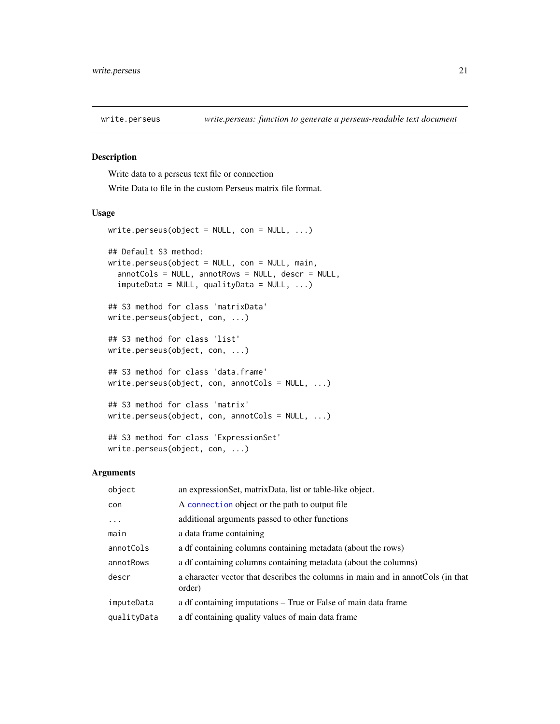<span id="page-20-1"></span><span id="page-20-0"></span>

Write data to a perseus text file or connection

Write Data to file in the custom Perseus matrix file format.

## Usage

```
write.perseus(object = NULL, con = NULL, ...)## Default S3 method:
write.perseus(object = NULL, con = NULL, main,
  annotCols = NULL, annotRows = NULL, descr = NULL,
  imputeData = NULL, qualityData = NULL, ...)
## S3 method for class 'matrixData'
write.perseus(object, con, ...)
## S3 method for class 'list'
write.perseus(object, con, ...)
## S3 method for class 'data.frame'
write.perseus(object, con, annotCols = NULL, ...)
## S3 method for class 'matrix'
write.perseus(object, con, annotCols = NULL, ...)
## S3 method for class 'ExpressionSet'
write.perseus(object, con, ...)
```

| object      | an expression Set, matrix Data, list or table-like object.                                |
|-------------|-------------------------------------------------------------------------------------------|
| con         | A connection object or the path to output file                                            |
| $\cdots$    | additional arguments passed to other functions                                            |
| main        | a data frame containing                                                                   |
| annotCols   | a df containing columns containing metadata (about the rows)                              |
| annotRows   | a df containing columns containing metadata (about the columns)                           |
| descr       | a character vector that describes the columns in main and in annotCols (in that<br>order) |
| imputeData  | a df containing imputations – True or False of main data frame                            |
| qualityData | a df containing quality values of main data frame                                         |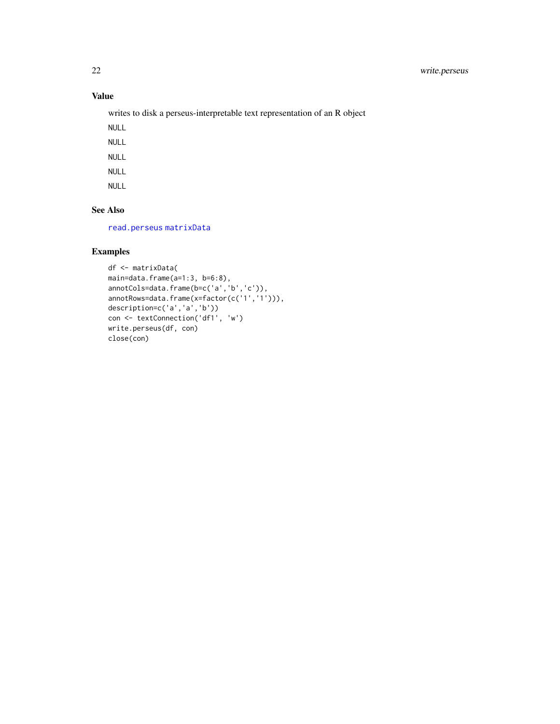# <span id="page-21-0"></span>Value

writes to disk a perseus-interpretable text representation of an R object

NULL

NULL

NULL

NULL

NULL

# See Also

[read.perseus](#page-17-1) [matrixData](#page-12-1)

```
df <- matrixData(
main=data.frame(a=1:3, b=6:8),
annotCols=data.frame(b=c('a','b','c')),
annotRows=data.frame(x=factor(c('1','1'))),
description=c('a','a','b'))
con <- textConnection('df1', 'w')
write.perseus(df, con)
close(con)
```